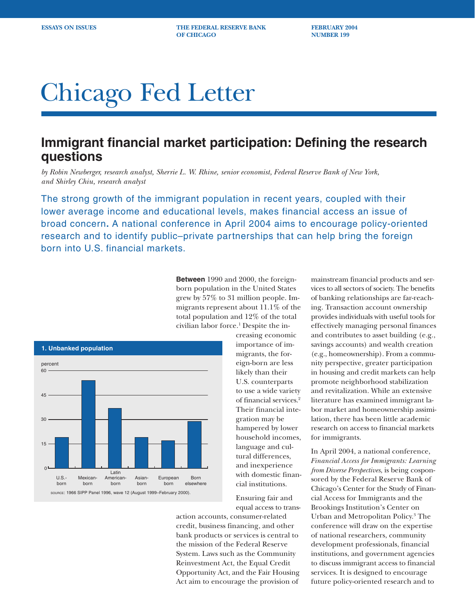**ESSAYS ON ISSUES THE FEDERAL RESERVE BANK FEBRUARY 2004 OF CHICAGO NUMBER 199** 

# Chicago Fed Letter

# **Immigrant financial market participation: Defining the research questions**

*by Robin Newberger, research analyst, Sherrie L. W. Rhine, senior economist, Federal Reserve Bank of New York, and Shirley Chiu, research analyst*

The strong growth of the immigrant population in recent years, coupled with their lower average income and educational levels, makes financial access an issue of broad concern**.** A national conference in April 2004 aims to encourage policy-oriented research and to identify public–private partnerships that can help bring the foreign born into U.S. financial markets.

> **Between** 1990 and 2000, the foreignborn population in the United States grew by 57% to 31 million people. Immigrants represent about 11.1% of the total population and 12% of the total civilian labor force.1 Despite the in-



creasing economic importance of immigrants, the foreign-born are less likely than their U.S. counterparts to use a wide variety of financial services.2 Their financial integration may be hampered by lower household incomes, language and cultural differences, and inexperience with domestic financial institutions.

Ensuring fair and equal access to trans-

action accounts, consumer-related credit, business financing, and other bank products or services is central to the mission of the Federal Reserve System. Laws such as the Community Reinvestment Act, the Equal Credit Opportunity Act, and the Fair Housing Act aim to encourage the provision of

mainstream financial products and services to all sectors of society. The benefits of banking relationships are far-reaching. Transaction account ownership provides individuals with useful tools for effectively managing personal finances and contributes to asset building (e.g., savings accounts) and wealth creation (e.g., homeownership). From a community perspective, greater participation in housing and credit markets can help promote neighborhood stabilization and revitalization. While an extensive literature has examined immigrant labor market and homeownership assimilation, there has been little academic research on access to financial markets for immigrants.

In April 2004, a national conference, *Financial Access for Immigrants: Learning from Diverse Perspectives*, is being cosponsored by the Federal Reserve Bank of Chicago's Center for the Study of Financial Access for Immigrants and the Brookings Institution's Center on Urban and Metropolitan Policy.3 The conference will draw on the expertise of national researchers, community development professionals, financial institutions, and government agencies to discuss immigrant access to financial services. It is designed to encourage future policy-oriented research and to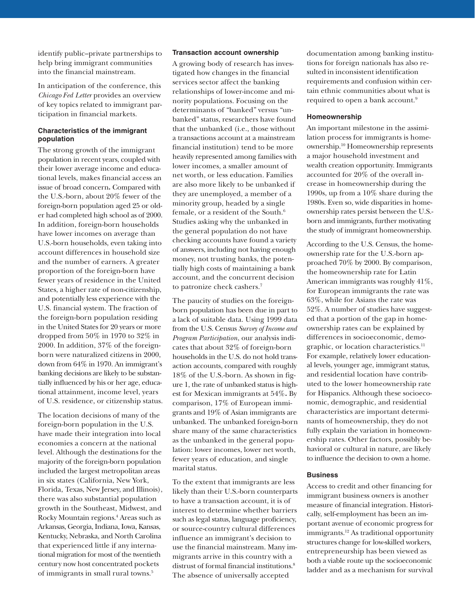identify public–private partnerships to help bring immigrant communities into the financial mainstream.

In anticipation of the conference, this *Chicago Fed Letter* provides an overview of key topics related to immigrant participation in financial markets.

# **Characteristics of the immigrant population**

The strong growth of the immigrant population in recent years, coupled with their lower average income and educational levels, makes financial access an issue of broad concern**.** Compared with the U.S.-born, about 20% fewer of the foreign-born population aged 25 or older had completed high school as of 2000. In addition, foreign-born households have lower incomes on average than U.S.-born households, even taking into account differences in household size and the number of earners. A greater proportion of the foreign-born have fewer years of residence in the United States, a higher rate of non-citizenship, and potentially less experience with the U.S. financial system. The fraction of the foreign-born population residing in the United States for 20 years or more dropped from 50% in 1970 to 32% in 2000. In addition, 37% of the foreignborn were naturalized citizens in 2000, down from 64% in 1970. An immigrant's banking decisions are likely to be substantially influenced by his or her age, educational attainment, income level, years of U.S. residence, or citizenship status.

The location decisions of many of the foreign-born population in the U.S. have made their integration into local economies a concern at the national level. Although the destinations for the majority of the foreign-born population included the largest metropolitan areas in six states (California, New York, Florida, Texas, New Jersey, and Illinois), there was also substantial population growth in the Southeast, Midwest, and Rocky Mountain regions.4 Areas such as Arkansas, Georgia, Indiana, Iowa, Kansas, Kentucky, Nebraska, and North Carolina that experienced little if any international migration for most of the twentieth century now host concentrated pockets of immigrants in small rural towns.<sup>5</sup>

#### **Transaction account ownership**

A growing body of research has investigated how changes in the financial services sector affect the banking relationships of lower-income and minority populations. Focusing on the determinants of "banked" versus "unbanked" status, researchers have found that the unbanked (i.e., those without a transactions account at a mainstream financial institution) tend to be more heavily represented among families with lower incomes, a smaller amount of net worth, or less education. Families are also more likely to be unbanked if they are unemployed, a member of a minority group, headed by a single female, or a resident of the South.<sup>6</sup> Studies asking why the unbanked in the general population do not have checking accounts have found a variety of answers, including not having enough money, not trusting banks, the potentially high costs of maintaining a bank account, and the concurrent decision to patronize check cashers.7

The paucity of studies on the foreignborn population has been due in part to a lack of suitable data. Using 1999 data from the U.S. Census *Survey of Income and Program Participation*, our analysis indicates that about 32% of foreign-born households in the U.S. do not hold transaction accounts, compared with roughly 18% of the U.S.-born. As shown in figure 1, the rate of unbanked status is highest for Mexican immigrants at 54%**.** By comparison, 17% of European immigrants and 19% of Asian immigrants are unbanked. The unbanked foreign-born share many of the same characteristics as the unbanked in the general population: lower incomes, lower net worth, fewer years of education, and single marital status.

To the extent that immigrants are less likely than their U.S.-born counterparts to have a transaction account, it is of interest to determine whether barriers such as legal status, language proficiency, or source-country cultural differences influence an immigrant's decision to use the financial mainstream. Many immigrants arrive in this country with a distrust of formal financial institutions.<sup>8</sup> The absence of universally accepted

documentation among banking institutions for foreign nationals has also resulted in inconsistent identification requirements and confusion within certain ethnic communities about what is required to open a bank account.9

#### **Homeownership**

An important milestone in the assimilation process for immigrants is homeownership.10 Homeownership represents a major household investment and wealth creation opportunity. Immigrants accounted for 20% of the overall increase in homeownership during the 1990s, up from a 10% share during the 1980s. Even so, wide disparities in homeownership rates persist between the U.S. born and immigrants, further motivating the study of immigrant homeownership.

According to the U.S. Census, the homeownership rate for the U.S.-born approached 70% by 2000. By comparison, the homeownership rate for Latin American immigrants was roughly 41%, for European immigrants the rate was 63%, while for Asians the rate was 52%. A number of studies have suggested that a portion of the gap in homeownership rates can be explained by differences in socioeconomic, demographic, or location characteristics.<sup>11</sup> For example, relatively lower educational levels, younger age, immigrant status, and residential location have contributed to the lower homeownership rate for Hispanics. Although these socioeconomic, demographic, and residential characteristics are important determinants of homeownership, they do not fully explain the variation in homeownership rates. Other factors, possibly behavioral or cultural in nature, are likely to influence the decision to own a home.

### **Business**

Access to credit and other financing for immigrant business owners is another measure of financial integration. Historically, self-employment has been an important avenue of economic progress for immigrants.<sup>12</sup> As traditional opportunity structures change for low-skilled workers, entrepreneurship has been viewed as both a viable route up the socioeconomic ladder and as a mechanism for survival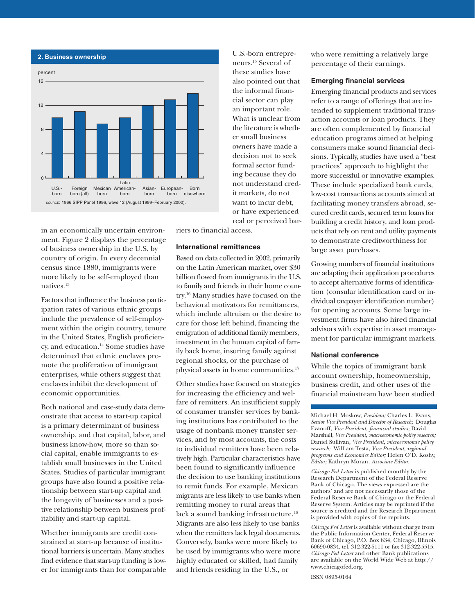

in an economically uncertain environment. Figure 2 displays the percentage of business ownership in the U.S. by country of origin. In every decennial census since 1880, immigrants were more likely to be self-employed than natives.13

Factors that influence the business participation rates of various ethnic groups include the prevalence of self-employment within the origin country, tenure in the United States, English proficiency, and education.14 Some studies have determined that ethnic enclaves promote the proliferation of immigrant enterprises, while others suggest that enclaves inhibit the development of economic opportunities.

Both national and case-study data demonstrate that access to start-up capital is a primary determinant of business ownership, and that capital, labor, and business know-how, more so than social capital, enable immigrants to establish small businesses in the United States. Studies of particular immigrant groups have also found a positive relationship between start-up capital and the longevity of businesses and a positive relationship between business profitability and start-up capital.

Whether immigrants are credit constrained at start-up because of institutional barriers is uncertain. Many studies find evidence that start-up funding is lower for immigrants than for comparable

U.S.-born entrepreneurs.15 Several of these studies have also pointed out that the informal financial sector can play an important role. What is unclear from the literature is whether small business owners have made a decision not to seek formal sector funding because they do not understand credit markets, do not want to incur debt, or have experienced real or perceived bar-

riers to financial access.

# **International remittances**

Based on data collected in 2002, primarily on the Latin American market, over \$30 billion flowed from immigrants in the U.S. to family and friends in their home country.16 Many studies have focused on the behavioral motivators for remittances, which include altruism or the desire to care for those left behind, financing the emigration of additional family members, investment in the human capital of family back home, insuring family against regional shocks, or the purchase of physical assets in home communities.<sup>17</sup>

Other studies have focused on strategies for increasing the efficiency and welfare of remitters. An insufficient supply of consumer transfer services by banking institutions has contributed to the usage of nonbank money transfer services, and by most accounts, the costs to individual remitters have been relatively high. Particular characteristics have been found to significantly influence the decision to use banking institutions to remit funds. For example, Mexican migrants are less likely to use banks when remitting money to rural areas that lack a sound banking infrastructure.<sup>18</sup> Migrants are also less likely to use banks when the remitters lack legal documents. Conversely, banks were more likely to be used by immigrants who were more highly educated or skilled, had family and friends residing in the U.S., or

who were remitting a relatively large percentage of their earnings.

# **Emerging financial services**

Emerging financial products and services refer to a range of offerings that are intended to supplement traditional transaction accounts or loan products. They are often complemented by financial education programs aimed at helping consumers make sound financial decisions. Typically, studies have used a "best practices" approach to highlight the more successful or innovative examples. These include specialized bank cards, low-cost transactions accounts aimed at facilitating money transfers abroad, secured credit cards, secured term loans for building a credit history, and loan products that rely on rent and utility payments to demonstrate creditworthiness for large asset purchases.

Growing numbers of financial institutions are adapting their application procedures to accept alternative forms of identification (consular identification card or individual taxpayer identification number) for opening accounts. Some large investment firms have also hired financial advisors with expertise in asset management for particular immigrant markets.

#### **National conference**

While the topics of immigrant bank account ownership, homeownership, business credit, and other uses of the financial mainstream have been studied

Michael H. Moskow, *President;* Charles L. Evans, *Senior Vice President and Director of Research;* Douglas Evanoff, *Vice President, financial studies;* David Marshall, *Vice President, macroeconomic policy research;* Daniel Sullivan*, Vice President, microeconomic policy research;* William Testa, *Vice President, regional programs and Economics Editor;* Helen O'D. Koshy, *Editor;* Kathryn Moran, *Associate Editor.*

*Chicago Fed Letter* is published monthly by the Research Department of the Federal Reserve Bank of Chicago. The views expressed are the authors' and are not necessarily those of the Federal Reserve Bank of Chicago or the Federal Reserve System. Articles may be reprinted if the source is credited and the Research Department is provided with copies of the reprints.

*Chicago Fed Letter* is available without charge from the Public Information Center, Federal Reserve Bank of Chicago, P.O. Box 834, Chicago, Illinois 60690-0834, tel. 312-322-5111 or fax 312-322-5515. *Chicago Fed Letter* and other Bank publications are available on the World Wide Web at http:// www.chicagofed.org.

ISSN 0895-0164